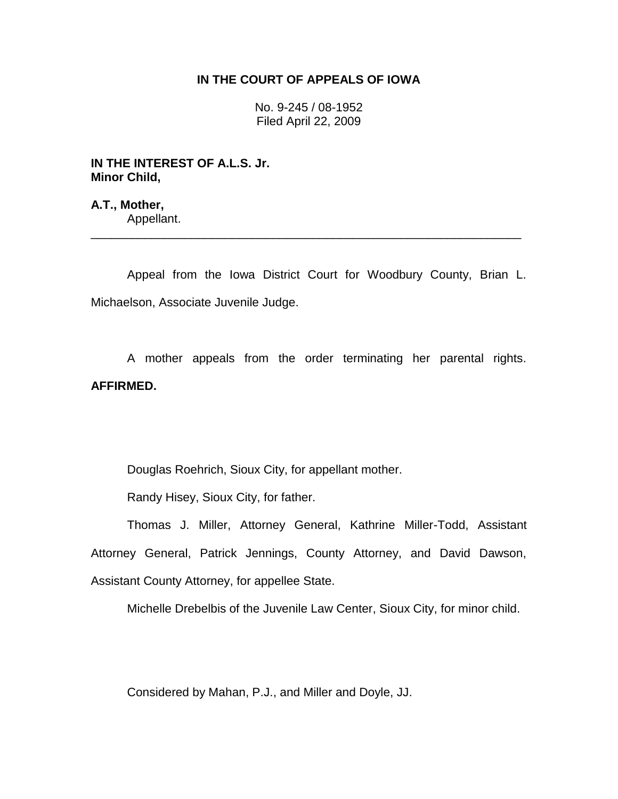## **IN THE COURT OF APPEALS OF IOWA**

No. 9-245 / 08-1952 Filed April 22, 2009

**IN THE INTEREST OF A.L.S. Jr. Minor Child,**

**A.T., Mother,** Appellant.

Appeal from the Iowa District Court for Woodbury County, Brian L. Michaelson, Associate Juvenile Judge.

\_\_\_\_\_\_\_\_\_\_\_\_\_\_\_\_\_\_\_\_\_\_\_\_\_\_\_\_\_\_\_\_\_\_\_\_\_\_\_\_\_\_\_\_\_\_\_\_\_\_\_\_\_\_\_\_\_\_\_\_\_\_\_\_

A mother appeals from the order terminating her parental rights. **AFFIRMED.**

Douglas Roehrich, Sioux City, for appellant mother.

Randy Hisey, Sioux City, for father.

Thomas J. Miller, Attorney General, Kathrine Miller-Todd, Assistant Attorney General, Patrick Jennings, County Attorney, and David Dawson, Assistant County Attorney, for appellee State.

Michelle Drebelbis of the Juvenile Law Center, Sioux City, for minor child.

Considered by Mahan, P.J., and Miller and Doyle, JJ.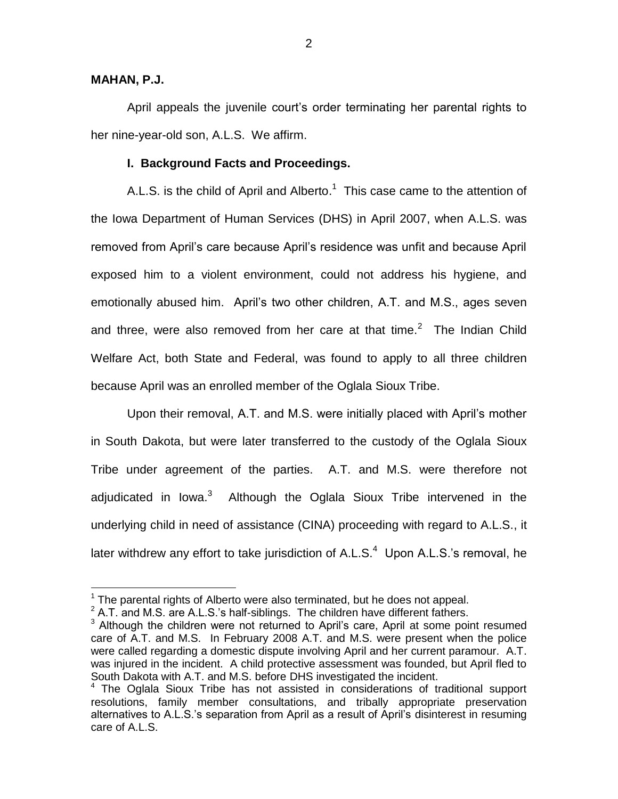# **MAHAN, P.J.**

 $\overline{a}$ 

April appeals the juvenile court's order terminating her parental rights to her nine-year-old son, A.L.S. We affirm.

### **I. Background Facts and Proceedings.**

A.L.S. is the child of April and Alberto.<sup>1</sup> This case came to the attention of the Iowa Department of Human Services (DHS) in April 2007, when A.L.S. was removed from April's care because April's residence was unfit and because April exposed him to a violent environment, could not address his hygiene, and emotionally abused him. April's two other children, A.T. and M.S., ages seven and three, were also removed from her care at that time. $2$  The Indian Child Welfare Act, both State and Federal, was found to apply to all three children because April was an enrolled member of the Oglala Sioux Tribe.

Upon their removal, A.T. and M.S. were initially placed with April's mother in South Dakota, but were later transferred to the custody of the Oglala Sioux Tribe under agreement of the parties. A.T. and M.S. were therefore not adjudicated in Iowa.<sup>3</sup> Although the Oglala Sioux Tribe intervened in the underlying child in need of assistance (CINA) proceeding with regard to A.L.S., it later withdrew any effort to take jurisdiction of A.L.S. $<sup>4</sup>$  Upon A.L.S.'s removal, he</sup>

 $1$  The parental rights of Alberto were also terminated, but he does not appeal.

 $2$  A.T. and M.S. are A.L.S.'s half-siblings. The children have different fathers.

<sup>&</sup>lt;sup>3</sup> Although the children were not returned to April's care, April at some point resumed care of A.T. and M.S. In February 2008 A.T. and M.S. were present when the police were called regarding a domestic dispute involving April and her current paramour. A.T. was injured in the incident. A child protective assessment was founded, but April fled to South Dakota with A.T. and M.S. before DHS investigated the incident.

 $4$  The Oglala Sioux Tribe has not assisted in considerations of traditional support resolutions, family member consultations, and tribally appropriate preservation alternatives to A.L.S.'s separation from April as a result of April's disinterest in resuming care of A.L.S.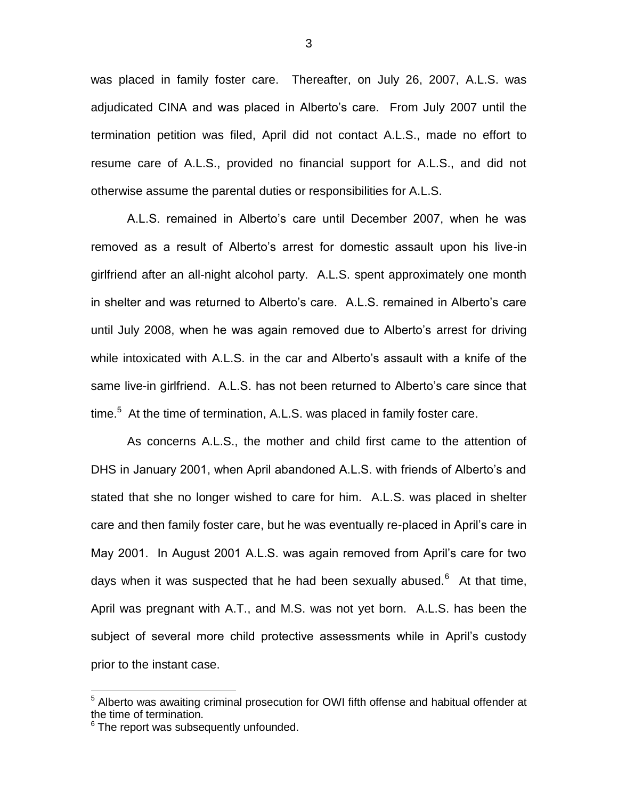was placed in family foster care. Thereafter, on July 26, 2007, A.L.S. was adjudicated CINA and was placed in Alberto's care. From July 2007 until the termination petition was filed, April did not contact A.L.S., made no effort to resume care of A.L.S., provided no financial support for A.L.S., and did not otherwise assume the parental duties or responsibilities for A.L.S.

A.L.S. remained in Alberto's care until December 2007, when he was removed as a result of Alberto's arrest for domestic assault upon his live-in girlfriend after an all-night alcohol party. A.L.S. spent approximately one month in shelter and was returned to Alberto's care. A.L.S. remained in Alberto's care until July 2008, when he was again removed due to Alberto's arrest for driving while intoxicated with A.L.S. in the car and Alberto's assault with a knife of the same live-in girlfriend. A.L.S. has not been returned to Alberto's care since that time.<sup>5</sup> At the time of termination, A.L.S. was placed in family foster care.

As concerns A.L.S., the mother and child first came to the attention of DHS in January 2001, when April abandoned A.L.S. with friends of Alberto's and stated that she no longer wished to care for him. A.L.S. was placed in shelter care and then family foster care, but he was eventually re-placed in April's care in May 2001. In August 2001 A.L.S. was again removed from April's care for two days when it was suspected that he had been sexually abused.<sup>6</sup> At that time, April was pregnant with A.T., and M.S. was not yet born. A.L.S. has been the subject of several more child protective assessments while in April's custody prior to the instant case.

 $\overline{a}$ 

<sup>&</sup>lt;sup>5</sup> Alberto was awaiting criminal prosecution for OWI fifth offense and habitual offender at the time of termination.

 $6$  The report was subsequently unfounded.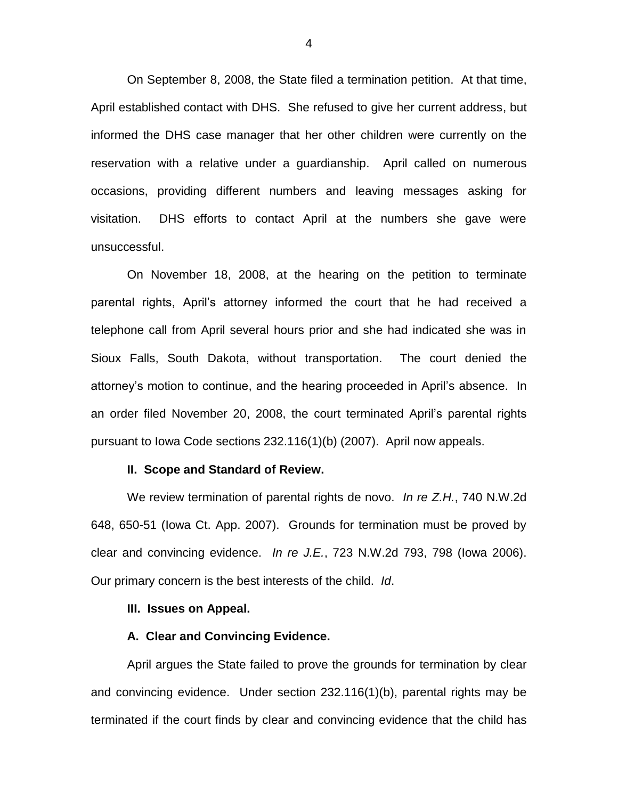On September 8, 2008, the State filed a termination petition. At that time, April established contact with DHS. She refused to give her current address, but informed the DHS case manager that her other children were currently on the reservation with a relative under a guardianship. April called on numerous occasions, providing different numbers and leaving messages asking for visitation. DHS efforts to contact April at the numbers she gave were unsuccessful.

On November 18, 2008, at the hearing on the petition to terminate parental rights, April's attorney informed the court that he had received a telephone call from April several hours prior and she had indicated she was in Sioux Falls, South Dakota, without transportation. The court denied the attorney's motion to continue, and the hearing proceeded in April's absence. In an order filed November 20, 2008, the court terminated April's parental rights pursuant to Iowa Code sections 232.116(1)(b) (2007). April now appeals.

#### **II. Scope and Standard of Review.**

We review termination of parental rights de novo. *In re Z.H.*, 740 N.W.2d 648, 650-51 (Iowa Ct. App. 2007). Grounds for termination must be proved by clear and convincing evidence. *In re J.E.*, 723 N.W.2d 793, 798 (Iowa 2006). Our primary concern is the best interests of the child. *Id*.

### **III. Issues on Appeal.**

### **A. Clear and Convincing Evidence.**

April argues the State failed to prove the grounds for termination by clear and convincing evidence. Under section 232.116(1)(b), parental rights may be terminated if the court finds by clear and convincing evidence that the child has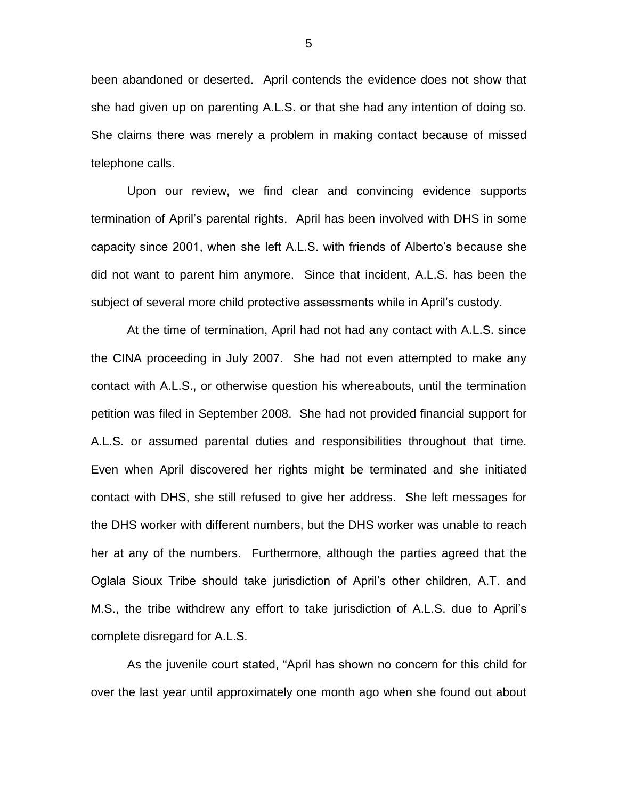been abandoned or deserted. April contends the evidence does not show that she had given up on parenting A.L.S. or that she had any intention of doing so. She claims there was merely a problem in making contact because of missed telephone calls.

Upon our review, we find clear and convincing evidence supports termination of April's parental rights. April has been involved with DHS in some capacity since 2001, when she left A.L.S. with friends of Alberto's because she did not want to parent him anymore. Since that incident, A.L.S. has been the subject of several more child protective assessments while in April's custody.

At the time of termination, April had not had any contact with A.L.S. since the CINA proceeding in July 2007. She had not even attempted to make any contact with A.L.S., or otherwise question his whereabouts, until the termination petition was filed in September 2008. She had not provided financial support for A.L.S. or assumed parental duties and responsibilities throughout that time. Even when April discovered her rights might be terminated and she initiated contact with DHS, she still refused to give her address. She left messages for the DHS worker with different numbers, but the DHS worker was unable to reach her at any of the numbers. Furthermore, although the parties agreed that the Oglala Sioux Tribe should take jurisdiction of April's other children, A.T. and M.S., the tribe withdrew any effort to take jurisdiction of A.L.S. due to April's complete disregard for A.L.S.

As the juvenile court stated, "April has shown no concern for this child for over the last year until approximately one month ago when she found out about

5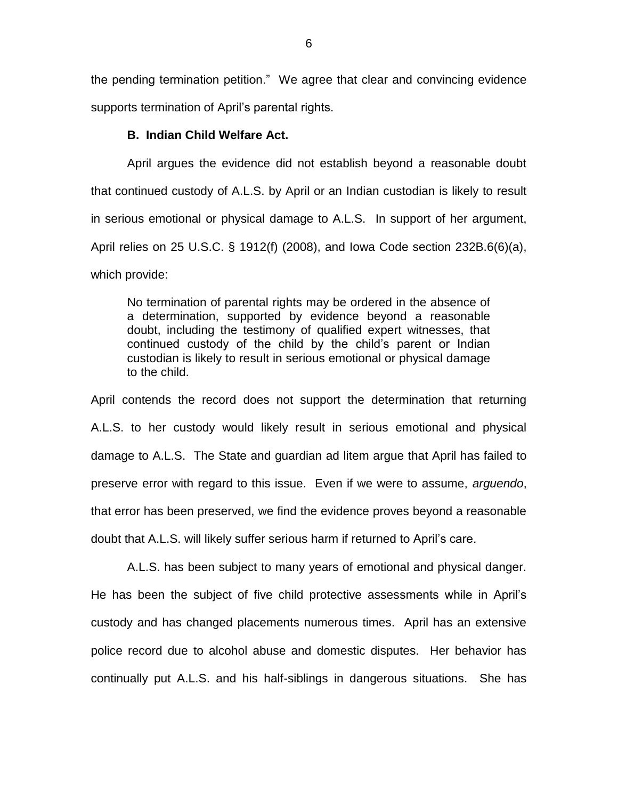the pending termination petition." We agree that clear and convincing evidence supports termination of April's parental rights.

## **B. Indian Child Welfare Act.**

April argues the evidence did not establish beyond a reasonable doubt that continued custody of A.L.S. by April or an Indian custodian is likely to result in serious emotional or physical damage to A.L.S. In support of her argument, April relies on 25 U.S.C. § 1912(f) (2008), and Iowa Code section 232B.6(6)(a), which provide:

No termination of parental rights may be ordered in the absence of a determination, supported by evidence beyond a reasonable doubt, including the testimony of qualified expert witnesses, that continued custody of the child by the child's parent or Indian custodian is likely to result in serious emotional or physical damage to the child.

April contends the record does not support the determination that returning A.L.S. to her custody would likely result in serious emotional and physical damage to A.L.S. The State and guardian ad litem argue that April has failed to preserve error with regard to this issue. Even if we were to assume, *arguendo*, that error has been preserved, we find the evidence proves beyond a reasonable doubt that A.L.S. will likely suffer serious harm if returned to April's care.

A.L.S. has been subject to many years of emotional and physical danger. He has been the subject of five child protective assessments while in April's custody and has changed placements numerous times. April has an extensive police record due to alcohol abuse and domestic disputes. Her behavior has continually put A.L.S. and his half-siblings in dangerous situations. She has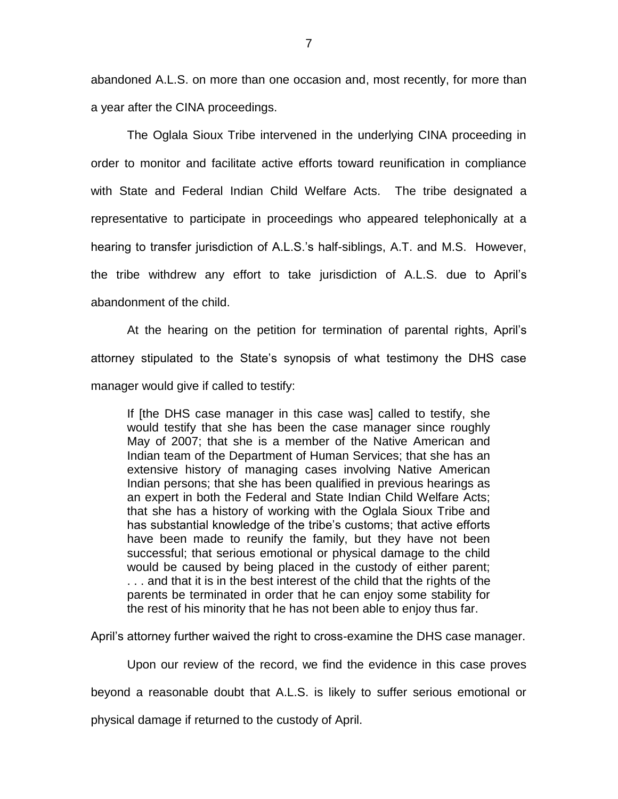abandoned A.L.S. on more than one occasion and, most recently, for more than a year after the CINA proceedings.

The Oglala Sioux Tribe intervened in the underlying CINA proceeding in order to monitor and facilitate active efforts toward reunification in compliance with State and Federal Indian Child Welfare Acts. The tribe designated a representative to participate in proceedings who appeared telephonically at a hearing to transfer jurisdiction of A.L.S.'s half-siblings, A.T. and M.S. However, the tribe withdrew any effort to take jurisdiction of A.L.S. due to April's abandonment of the child.

At the hearing on the petition for termination of parental rights, April's attorney stipulated to the State's synopsis of what testimony the DHS case manager would give if called to testify:

If [the DHS case manager in this case was] called to testify, she would testify that she has been the case manager since roughly May of 2007; that she is a member of the Native American and Indian team of the Department of Human Services; that she has an extensive history of managing cases involving Native American Indian persons; that she has been qualified in previous hearings as an expert in both the Federal and State Indian Child Welfare Acts; that she has a history of working with the Oglala Sioux Tribe and has substantial knowledge of the tribe's customs; that active efforts have been made to reunify the family, but they have not been successful; that serious emotional or physical damage to the child would be caused by being placed in the custody of either parent; . . . and that it is in the best interest of the child that the rights of the parents be terminated in order that he can enjoy some stability for the rest of his minority that he has not been able to enjoy thus far.

April's attorney further waived the right to cross-examine the DHS case manager.

Upon our review of the record, we find the evidence in this case proves

beyond a reasonable doubt that A.L.S. is likely to suffer serious emotional or

physical damage if returned to the custody of April.